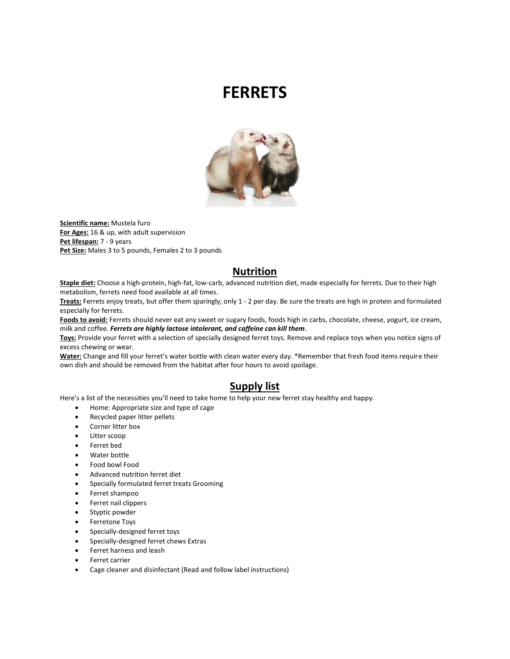# **FERRETS**



**Scientific name:** Mustela furo **For Ages:** 16 & up, with adult supervision **Pet lifespan:** 7 - 9 years Pet Size: Males 3 to 5 pounds, Females 2 to 3 pounds

#### **Nutrition**

**Staple diet:** Choose a high-protein, high-fat, low-carb, advanced nutrition diet, made especially for ferrets. Due to their high metabolism, ferrets need food available at all times.

**Treats:** Ferrets enjoy treats, but offer them sparingly; only 1 - 2 per day. Be sure the treats are high in protein and formulated especially for ferrets.

**Foods to avoid:** Ferrets should never eat any sweet or sugary foods, foods high in carbs, chocolate, cheese, yogurt, ice cream, milk and coffee. *Ferrets are highly lactose intolerant, and caffeine can kill them*.

**Toys:** Provide your ferret with a selection of specially designed ferret toys. Remove and replace toys when you notice signs of excess chewing or wear.

**Water:** Change and fill your ferret's water bottle with clean water every day. \*Remember that fresh food items require their own dish and should be removed from the habitat after four hours to avoid spoilage.

#### **Supply list**

Here's a list of the necessities you'll need to take home to help your new ferret stay healthy and happy.

- Home: Appropriate size and type of cage
- Recycled paper litter pellets
- Corner litter box
- Litter scoop
- Ferret bed
- Water bottle
- Food bowl Food
- Advanced nutrition ferret diet
- Specially formulated ferret treats Grooming
- Ferret shampoo
- Ferret nail clippers
- Styptic powder
- Ferretone Toys
- Specially-designed ferret toys
- Specially-designed ferret chews Extras
- Ferret harness and leash
- Ferret carrier
- Cage cleaner and disinfectant (Read and follow label instructions)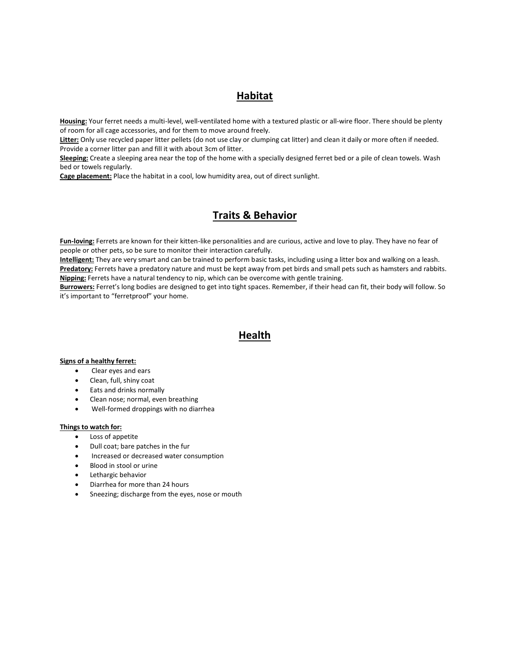## **Habitat**

**Housing:** Your ferret needs a multi-level, well-ventilated home with a textured plastic or all-wire floor. There should be plenty of room for all cage accessories, and for them to move around freely.

**Litter:** Only use recycled paper litter pellets (do not use clay or clumping cat litter) and clean it daily or more often if needed. Provide a corner litter pan and fill it with about 3cm of litter.

**Sleeping:** Create a sleeping area near the top of the home with a specially designed ferret bed or a pile of clean towels. Wash bed or towels regularly.

**Cage placement:** Place the habitat in a cool, low humidity area, out of direct sunlight.

### **Traits & Behavior**

**Fun-loving:** Ferrets are known for their kitten-like personalities and are curious, active and love to play. They have no fear of people or other pets, so be sure to monitor their interaction carefully.

**Intelligent:** They are very smart and can be trained to perform basic tasks, including using a litter box and walking on a leash. **Predatory:** Ferrets have a predatory nature and must be kept away from pet birds and small pets such as hamsters and rabbits. **Nipping:** Ferrets have a natural tendency to nip, which can be overcome with gentle training.

**Burrowers:** Ferret's long bodies are designed to get into tight spaces. Remember, if their head can fit, their body will follow. So it's important to "ferretproof" your home.

#### **Health**

#### **Signs of a healthy ferret:**

- Clear eyes and ears
- Clean, full, shiny coat
- Eats and drinks normally
- Clean nose; normal, even breathing
- Well-formed droppings with no diarrhea

#### **Things to watch for:**

- Loss of appetite
- Dull coat; bare patches in the fur
- **•** Increased or decreased water consumption
- Blood in stool or urine
- Lethargic behavior
- Diarrhea for more than 24 hours
- Sneezing; discharge from the eyes, nose or mouth